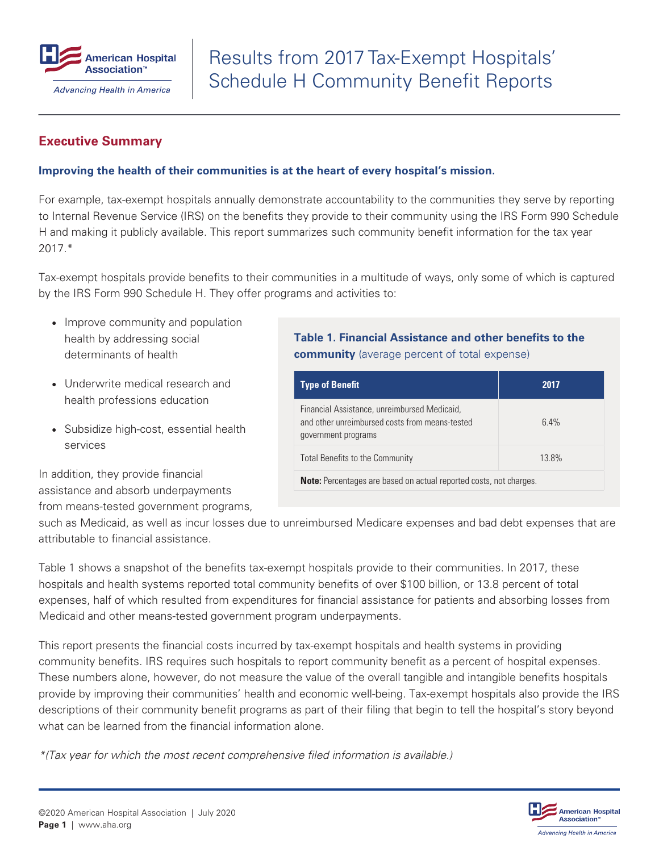

### **Executive Summary**

#### **Improving the health of their communities is at the heart of every hospital's mission.**

For example, tax-exempt hospitals annually demonstrate accountability to the communities they serve by reporting to Internal Revenue Service (IRS) on the benefits they provide to their community using the IRS Form 990 Schedule H and making it publicly available. This report summarizes such community benefit information for the tax year 2017.\*

Tax-exempt hospitals provide benefits to their communities in a multitude of ways, only some of which is captured by the IRS Form 990 Schedule H. They offer programs and activities to:

- Improve community and population health by addressing social determinants of health
- Underwrite medical research and health professions education
- Subsidize high-cost, essential health services

In addition, they provide financial assistance and absorb underpayments from means-tested government programs,

### **Table 1. Financial Assistance and other benefits to the community** (average percent of total expense)

| <b>Type of Benefit</b>                                                                                                | 2017  |  |  |  |  |
|-----------------------------------------------------------------------------------------------------------------------|-------|--|--|--|--|
| Financial Assistance, unreimbursed Medicaid,<br>and other unreimbursed costs from means-tested<br>government programs | 6.4%  |  |  |  |  |
| <b>Total Benefits to the Community</b>                                                                                | 13.8% |  |  |  |  |
| Note: Percentages are based on actual reported costs, not charges.                                                    |       |  |  |  |  |

such as Medicaid, as well as incur losses due to unreimbursed Medicare expenses and bad debt expenses that are attributable to financial assistance.

Table 1 shows a snapshot of the benefits tax-exempt hospitals provide to their communities. In 2017, these hospitals and health systems reported total community benefits of over \$100 billion, or 13.8 percent of total expenses, half of which resulted from expenditures for financial assistance for patients and absorbing losses from Medicaid and other means-tested government program underpayments.

This report presents the financial costs incurred by tax-exempt hospitals and health systems in providing community benefits. IRS requires such hospitals to report community benefit as a percent of hospital expenses. These numbers alone, however, do not measure the value of the overall tangible and intangible benefits hospitals provide by improving their communities' health and economic well-being. Tax-exempt hospitals also provide the IRS descriptions of their community benefit programs as part of their filing that begin to tell the hospital's story beyond what can be learned from the financial information alone.

*\*(Tax year for which the most recent comprehensive filed information is available.)*

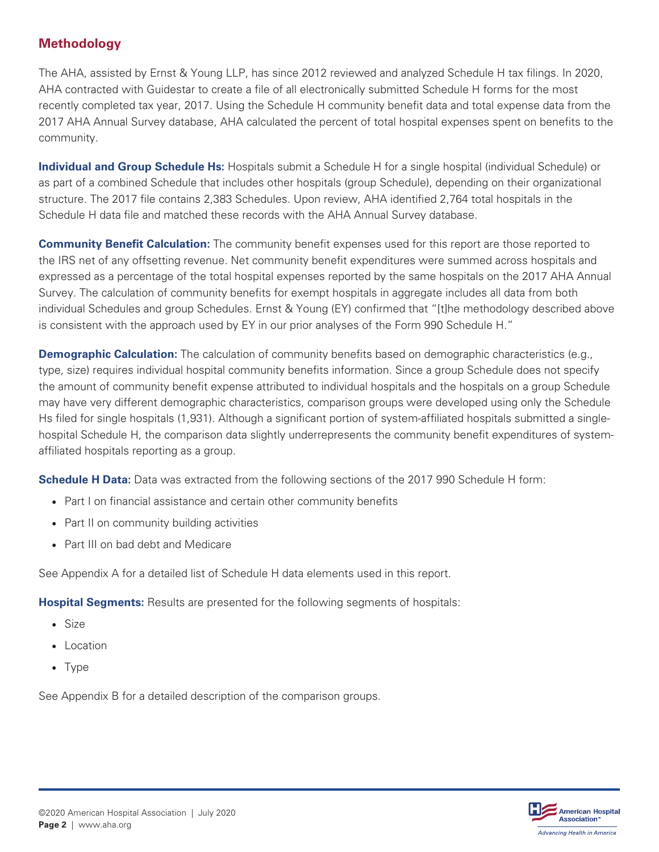# **Methodology**

The AHA, assisted by Ernst & Young LLP, has since 2012 reviewed and analyzed Schedule H tax filings. In 2020, AHA contracted with Guidestar to create a file of all electronically submitted Schedule H forms for the most recently completed tax year, 2017. Using the Schedule H community benefit data and total expense data from the 2017 AHA Annual Survey database, AHA calculated the percent of total hospital expenses spent on benefits to the community.

**Individual and Group Schedule Hs:** Hospitals submit a Schedule H for a single hospital (individual Schedule) or as part of a combined Schedule that includes other hospitals (group Schedule), depending on their organizational structure. The 2017 file contains 2,383 Schedules. Upon review, AHA identified 2,764 total hospitals in the Schedule H data file and matched these records with the AHA Annual Survey database.

**Community Benefit Calculation:** The community benefit expenses used for this report are those reported to the IRS net of any offsetting revenue. Net community benefit expenditures were summed across hospitals and expressed as a percentage of the total hospital expenses reported by the same hospitals on the 2017 AHA Annual Survey. The calculation of community benefits for exempt hospitals in aggregate includes all data from both individual Schedules and group Schedules. Ernst & Young (EY) confirmed that "[t]he methodology described above is consistent with the approach used by EY in our prior analyses of the Form 990 Schedule H."

**Demographic Calculation:** The calculation of community benefits based on demographic characteristics (e.g., type, size) requires individual hospital community benefits information. Since a group Schedule does not specify the amount of community benefit expense attributed to individual hospitals and the hospitals on a group Schedule may have very different demographic characteristics, comparison groups were developed using only the Schedule Hs filed for single hospitals (1,931). Although a significant portion of system-affiliated hospitals submitted a singlehospital Schedule H, the comparison data slightly underrepresents the community benefit expenditures of systemaffiliated hospitals reporting as a group.

**Schedule H Data:** Data was extracted from the following sections of the 2017 990 Schedule H form:

- Part I on financial assistance and certain other community benefits
- Part II on community building activities
- Part III on bad debt and Medicare

See Appendix A for a detailed list of Schedule H data elements used in this report.

**Hospital Segments:** Results are presented for the following segments of hospitals:

- Size
- Location
- Type

See Appendix B for a detailed description of the comparison groups.

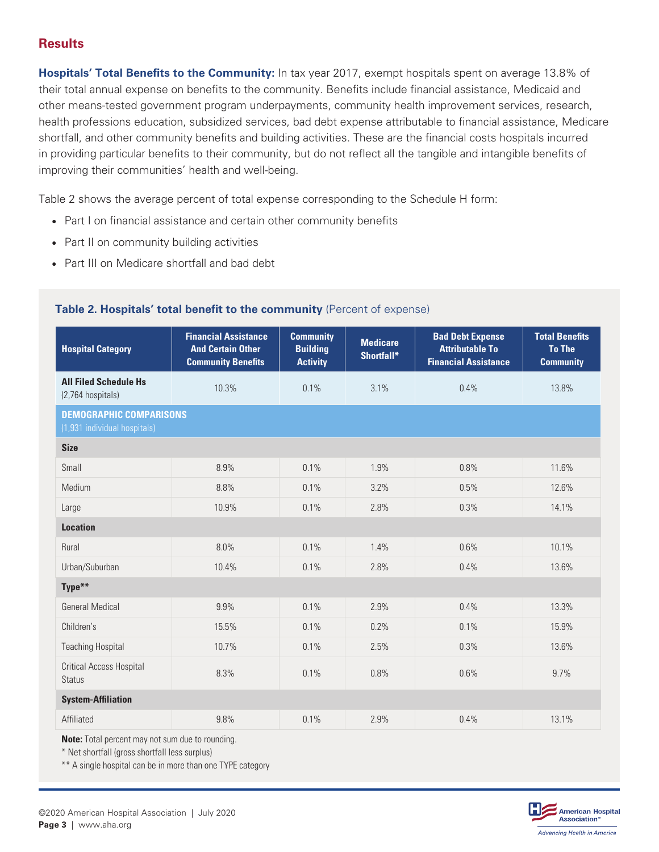# **Results**

**Hospitals' Total Benefits to the Community:** In tax year 2017, exempt hospitals spent on average 13.8% of their total annual expense on benefits to the community. Benefits include financial assistance, Medicaid and other means-tested government program underpayments, community health improvement services, research, health professions education, subsidized services, bad debt expense attributable to financial assistance, Medicare shortfall, and other community benefits and building activities. These are the financial costs hospitals incurred in providing particular benefits to their community, but do not reflect all the tangible and intangible benefits of improving their communities' health and well-being.

Table 2 shows the average percent of total expense corresponding to the Schedule H form:

- Part I on financial assistance and certain other community benefits
- Part II on community building activities
- Part III on Medicare shortfall and bad debt

| <b>Financial Assistance</b><br><b>And Certain Other</b><br><b>Community Benefits</b> | <b>Community</b><br><b>Building</b><br><b>Activity</b> | <b>Medicare</b><br>Shortfall* | <b>Bad Debt Expense</b><br><b>Attributable To</b><br><b>Financial Assistance</b> | <b>Total Benefits</b><br><b>To The</b><br><b>Community</b> |  |  |  |  |  |
|--------------------------------------------------------------------------------------|--------------------------------------------------------|-------------------------------|----------------------------------------------------------------------------------|------------------------------------------------------------|--|--|--|--|--|
| 10.3%                                                                                | 0.1%                                                   | 3.1%                          | 0.4%                                                                             | 13.8%                                                      |  |  |  |  |  |
| <b>DEMOGRAPHIC COMPARISONS</b><br>(1,931 individual hospitals)                       |                                                        |                               |                                                                                  |                                                            |  |  |  |  |  |
| <b>Size</b>                                                                          |                                                        |                               |                                                                                  |                                                            |  |  |  |  |  |
| 8.9%                                                                                 | 0.1%                                                   | 1.9%                          | 0.8%                                                                             | 11.6%                                                      |  |  |  |  |  |
| 8.8%                                                                                 | 0.1%                                                   | 3.2%                          | 0.5%                                                                             | 12.6%                                                      |  |  |  |  |  |
| 10.9%                                                                                | 0.1%                                                   | 2.8%                          | 0.3%                                                                             | 14.1%                                                      |  |  |  |  |  |
| <b>Location</b>                                                                      |                                                        |                               |                                                                                  |                                                            |  |  |  |  |  |
| 8.0%                                                                                 | 0.1%                                                   | 1.4%                          | 0.6%                                                                             | 10.1%                                                      |  |  |  |  |  |
| 10.4%                                                                                | 0.1%                                                   | 2.8%                          | 0.4%                                                                             | 13.6%                                                      |  |  |  |  |  |
| Type**                                                                               |                                                        |                               |                                                                                  |                                                            |  |  |  |  |  |
| 9.9%                                                                                 | 0.1%                                                   | 2.9%                          | 0.4%                                                                             | 13.3%                                                      |  |  |  |  |  |
| 15.5%                                                                                | 0.1%                                                   | 0.2%                          | 0.1%                                                                             | 15.9%                                                      |  |  |  |  |  |
| 10.7%                                                                                | 0.1%                                                   | 2.5%                          | 0.3%                                                                             | 13.6%                                                      |  |  |  |  |  |
| 8.3%                                                                                 | 0.1%                                                   | 0.8%                          | 0.6%                                                                             | 9.7%                                                       |  |  |  |  |  |
| <b>System-Affiliation</b>                                                            |                                                        |                               |                                                                                  |                                                            |  |  |  |  |  |
| 9.8%                                                                                 | 0.1%                                                   | 2.9%                          | 0.4%                                                                             | 13.1%                                                      |  |  |  |  |  |
|                                                                                      | $\mathbf{r}$<br><b>Contract Contract Contract</b>      |                               |                                                                                  |                                                            |  |  |  |  |  |

#### **Table 2. Hospitals' total benefit to the community** (Percent of expense)

**Note:** Total percent may not sum due to rounding.

\* Net shortfall (gross shortfall less surplus)

\*\* A single hospital can be in more than one TYPE category

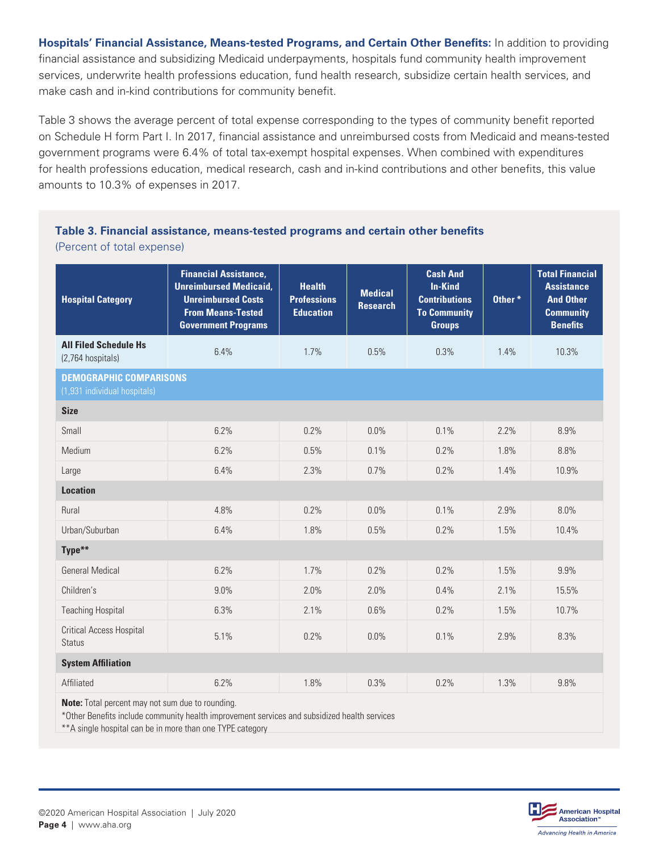**Hospitals' Financial Assistance, Means-tested Programs, and Certain Other Benefits:** In addition to providing financial assistance and subsidizing Medicaid underpayments, hospitals fund community health improvement services, underwrite health professions education, fund health research, subsidize certain health services, and make cash and in-kind contributions for community benefit.

Table 3 shows the average percent of total expense corresponding to the types of community benefit reported on Schedule H form Part I. In 2017, financial assistance and unreimbursed costs from Medicaid and means-tested government programs were 6.4% of total tax-exempt hospital expenses. When combined with expenditures for health professions education, medical research, cash and in-kind contributions and other benefits, this value amounts to 10.3% of expenses in 2017.

### **Table 3. Financial assistance, means-tested programs and certain other benefits** (Percent of total expense)

| <b>Hospital Category</b>                                                                                                                         | <b>Financial Assistance,</b><br><b>Unreimbursed Medicaid,</b><br><b>Unreimbursed Costs</b><br><b>From Means-Tested</b><br><b>Government Programs</b> | <b>Health</b><br><b>Professions</b><br><b>Education</b> | <b>Medical</b><br><b>Research</b> | <b>Cash And</b><br><b>In-Kind</b><br><b>Contributions</b><br><b>To Community</b><br><b>Groups</b> | Other* | <b>Total Financial</b><br><b>Assistance</b><br><b>And Other</b><br><b>Community</b><br><b>Benefits</b> |  |  |  |
|--------------------------------------------------------------------------------------------------------------------------------------------------|------------------------------------------------------------------------------------------------------------------------------------------------------|---------------------------------------------------------|-----------------------------------|---------------------------------------------------------------------------------------------------|--------|--------------------------------------------------------------------------------------------------------|--|--|--|
| <b>All Filed Schedule Hs</b><br>(2,764 hospitals)                                                                                                | 6.4%                                                                                                                                                 | 1.7%                                                    | 0.5%                              | 0.3%                                                                                              | 1.4%   | 10.3%                                                                                                  |  |  |  |
| <b>DEMOGRAPHIC COMPARISONS</b><br>(1,931 individual hospitals)                                                                                   |                                                                                                                                                      |                                                         |                                   |                                                                                                   |        |                                                                                                        |  |  |  |
| <b>Size</b>                                                                                                                                      |                                                                                                                                                      |                                                         |                                   |                                                                                                   |        |                                                                                                        |  |  |  |
| Small                                                                                                                                            | 6.2%                                                                                                                                                 | 0.2%                                                    | $0.0\%$                           | 0.1%                                                                                              | 2.2%   | 8.9%                                                                                                   |  |  |  |
| Medium                                                                                                                                           | 6.2%                                                                                                                                                 | 0.5%                                                    | 0.1%                              | 0.2%                                                                                              | 1.8%   | 8.8%                                                                                                   |  |  |  |
| Large                                                                                                                                            | 6.4%                                                                                                                                                 | 2.3%                                                    | 0.7%                              | 0.2%                                                                                              | 1.4%   | 10.9%                                                                                                  |  |  |  |
| <b>Location</b>                                                                                                                                  |                                                                                                                                                      |                                                         |                                   |                                                                                                   |        |                                                                                                        |  |  |  |
| Rural                                                                                                                                            | 4.8%                                                                                                                                                 | 0.2%                                                    | $0.0\%$                           | 0.1%                                                                                              | 2.9%   | 8.0%                                                                                                   |  |  |  |
| Urban/Suburban                                                                                                                                   | 6.4%                                                                                                                                                 | 1.8%                                                    | 0.5%                              | 0.2%                                                                                              | 1.5%   | 10.4%                                                                                                  |  |  |  |
| Type**                                                                                                                                           |                                                                                                                                                      |                                                         |                                   |                                                                                                   |        |                                                                                                        |  |  |  |
| <b>General Medical</b>                                                                                                                           | 6.2%                                                                                                                                                 | 1.7%                                                    | 0.2%                              | 0.2%                                                                                              | 1.5%   | 9.9%                                                                                                   |  |  |  |
| Children's                                                                                                                                       | $9.0\%$                                                                                                                                              | 2.0%                                                    | 2.0%                              | 0.4%                                                                                              | 2.1%   | 15.5%                                                                                                  |  |  |  |
| <b>Teaching Hospital</b>                                                                                                                         | 6.3%                                                                                                                                                 | 2.1%                                                    | 0.6%                              | 0.2%                                                                                              | 1.5%   | 10.7%                                                                                                  |  |  |  |
| <b>Critical Access Hospital</b><br><b>Status</b>                                                                                                 | 5.1%                                                                                                                                                 | 0.2%                                                    | 0.0%                              | 0.1%                                                                                              | 2.9%   | 8.3%                                                                                                   |  |  |  |
| <b>System Affiliation</b>                                                                                                                        |                                                                                                                                                      |                                                         |                                   |                                                                                                   |        |                                                                                                        |  |  |  |
| Affiliated                                                                                                                                       | 6.2%                                                                                                                                                 | 1.8%                                                    | 0.3%                              | 0.2%                                                                                              | 1.3%   | 9.8%                                                                                                   |  |  |  |
| Note: Total percent may not sum due to rounding.<br>*Other Repetite include community boolth improvement convices and subsidized boolth convices |                                                                                                                                                      |                                                         |                                   |                                                                                                   |        |                                                                                                        |  |  |  |

\*Other Benefits include community health improvement services and subsidized health services

\*\*A single hospital can be in more than one TYPE category

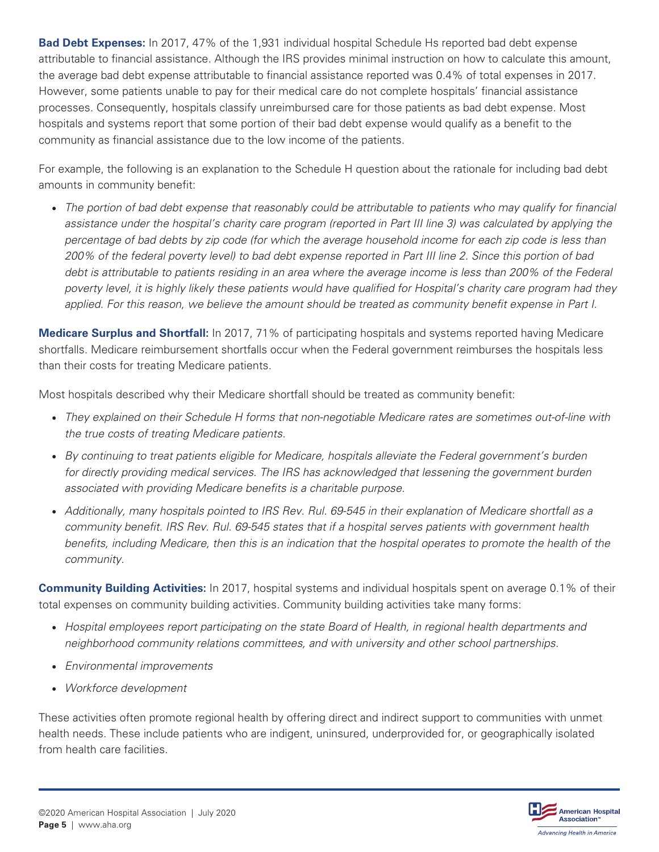**Bad Debt Expenses:** In 2017, 47% of the 1,931 individual hospital Schedule Hs reported bad debt expense attributable to financial assistance. Although the IRS provides minimal instruction on how to calculate this amount, the average bad debt expense attributable to financial assistance reported was 0.4% of total expenses in 2017. However, some patients unable to pay for their medical care do not complete hospitals' financial assistance processes. Consequently, hospitals classify unreimbursed care for those patients as bad debt expense. Most hospitals and systems report that some portion of their bad debt expense would qualify as a benefit to the community as financial assistance due to the low income of the patients.

For example, the following is an explanation to the Schedule H question about the rationale for including bad debt amounts in community benefit:

• *The portion of bad debt expense that reasonably could be attributable to patients who may qualify for financial*  assistance under the hospital's charity care program (reported in Part III line 3) was calculated by applying the *percentage of bad debts by zip code (for which the average household income for each zip code is less than 200% of the federal poverty level) to bad debt expense reported in Part III line 2. Since this portion of bad debt is attributable to patients residing in an area where the average income is less than 200% of the Federal poverty level, it is highly likely these patients would have qualified for Hospital's charity care program had they applied. For this reason, we believe the amount should be treated as community benefit expense in Part I.*

**Medicare Surplus and Shortfall:** In 2017, 71% of participating hospitals and systems reported having Medicare shortfalls. Medicare reimbursement shortfalls occur when the Federal government reimburses the hospitals less than their costs for treating Medicare patients.

Most hospitals described why their Medicare shortfall should be treated as community benefit:

- *They explained on their Schedule H forms that non-negotiable Medicare rates are sometimes out-of-line with the true costs of treating Medicare patients.*
- *By continuing to treat patients eligible for Medicare, hospitals alleviate the Federal government's burden*  for directly providing medical services. The IRS has acknowledged that lessening the government burden *associated with providing Medicare benefits is a charitable purpose.*
- *Additionally, many hospitals pointed to IRS Rev. Rul. 69-545 in their explanation of Medicare shortfall as a community benefit. IRS Rev. Rul. 69-545 states that if a hospital serves patients with government health benefits, including Medicare, then this is an indication that the hospital operates to promote the health of the community.*

**Community Building Activities:** In 2017, hospital systems and individual hospitals spent on average 0.1% of their total expenses on community building activities. Community building activities take many forms:

- *Hospital employees report participating on the state Board of Health, in regional health departments and neighborhood community relations committees, and with university and other school partnerships.*
- *Environmental improvements*
- *Workforce development*

These activities often promote regional health by offering direct and indirect support to communities with unmet health needs. These include patients who are indigent, uninsured, underprovided for, or geographically isolated from health care facilities.

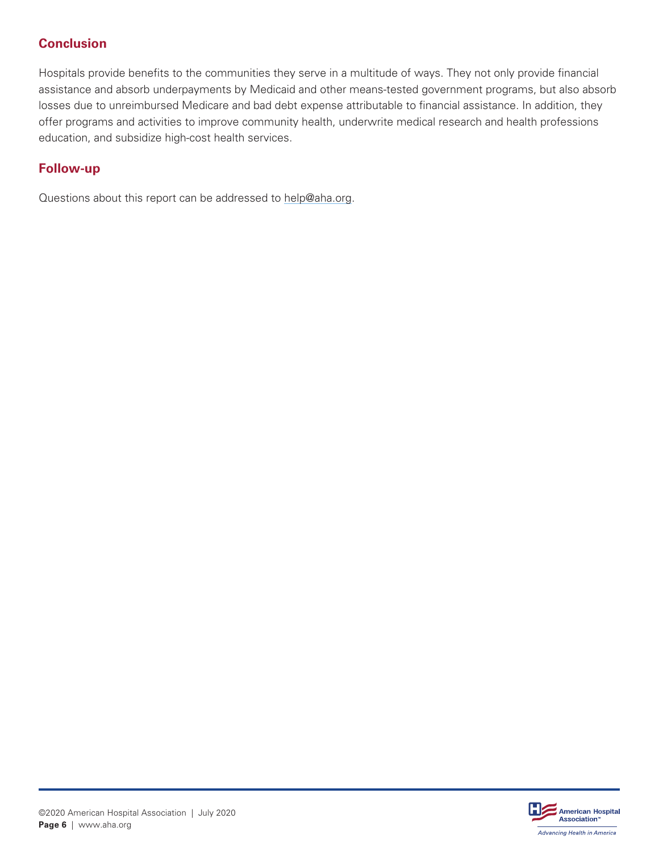# **Conclusion**

Hospitals provide benefits to the communities they serve in a multitude of ways. They not only provide financial assistance and absorb underpayments by Medicaid and other means-tested government programs, but also absorb losses due to unreimbursed Medicare and bad debt expense attributable to financial assistance. In addition, they offer programs and activities to improve community health, underwrite medical research and health professions education, and subsidize high-cost health services.

## **Follow-up**

Questions about this report can be addressed to [help@aha.org.](mailto:help@aha.org)

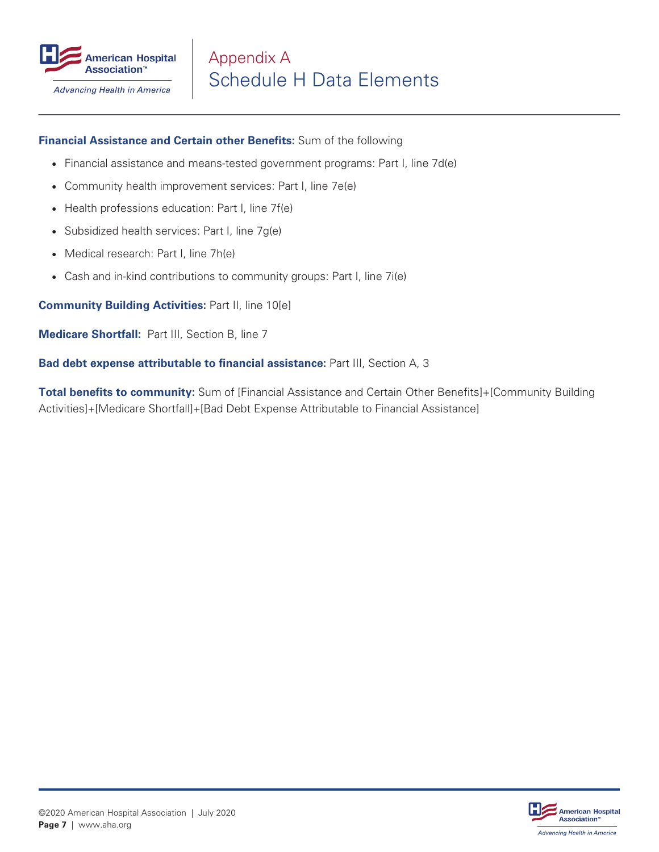

**Advancing Health in America** 

#### **Financial Assistance and Certain other Benefits:** Sum of the following

- Financial assistance and means-tested government programs: Part I, line 7d(e)
- Community health improvement services: Part I, line 7e(e)
- Health professions education: Part I, line 7f(e)
- Subsidized health services: Part I, line 7g(e)
- Medical research: Part I, line 7h(e)
- Cash and in-kind contributions to community groups: Part I, line 7i(e)

**Community Building Activities:** Part II, line 10[e]

**Medicare Shortfall:** Part III, Section B, line 7

**Bad debt expense attributable to financial assistance:** Part III, Section A, 3

**Total benefits to community:** Sum of [Financial Assistance and Certain Other Benefits]+[Community Building Activities]+[Medicare Shortfall]+[Bad Debt Expense Attributable to Financial Assistance]

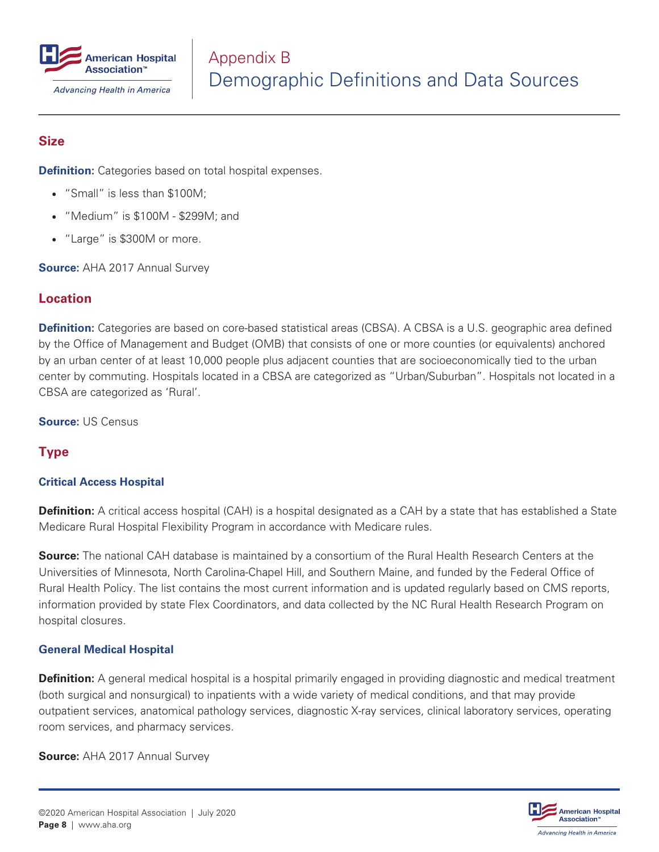

#### **Size**

**Definition:** Categories based on total hospital expenses.

- "Small" is less than \$100M;
- "Medium" is \$100M \$299M; and
- "Large" is \$300M or more.

**Source:** AHA 2017 Annual Survey

### **Location**

**Definition:** Categories are based on core-based statistical areas (CBSA). A CBSA is a U.S. geographic area defined by the Office of Management and Budget (OMB) that consists of one or more counties (or equivalents) anchored by an urban center of at least 10,000 people plus adjacent counties that are socioeconomically tied to the urban center by commuting. Hospitals located in a CBSA are categorized as "Urban/Suburban". Hospitals not located in a CBSA are categorized as 'Rural'.

**Source:** US Census

### **Type**

#### **Critical Access Hospital**

**Definition:** A critical access hospital (CAH) is a hospital designated as a CAH by a state that has established a State Medicare Rural Hospital Flexibility Program in accordance with Medicare rules.

**Source:** The national CAH database is maintained by a consortium of the Rural Health Research Centers at the Universities of Minnesota, North Carolina-Chapel Hill, and Southern Maine, and funded by the Federal Office of Rural Health Policy. The list contains the most current information and is updated regularly based on CMS reports, information provided by state Flex Coordinators, and data collected by the NC Rural Health Research Program on hospital closures.

#### **General Medical Hospital**

**Definition:** A general medical hospital is a hospital primarily engaged in providing diagnostic and medical treatment (both surgical and nonsurgical) to inpatients with a wide variety of medical conditions, and that may provide outpatient services, anatomical pathology services, diagnostic X-ray services, clinical laboratory services, operating room services, and pharmacy services.

**Source:** AHA 2017 Annual Survey